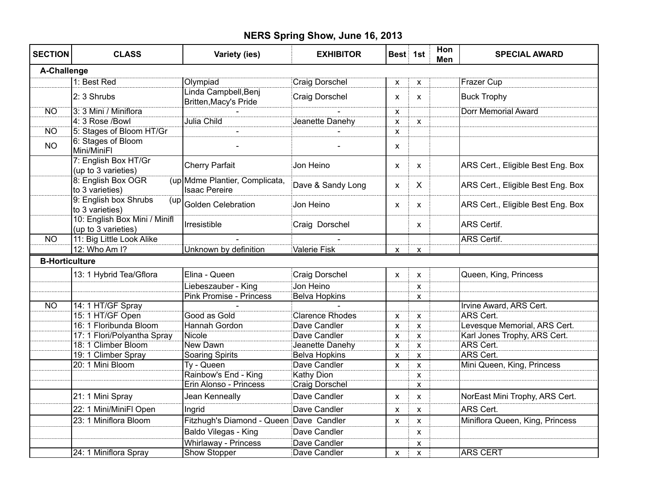## **NERS Spring Show, June 16, 2013**

| <b>SECTION</b>        | <b>CLASS</b>                                         | Variety (ies)                                          | <b>EXHIBITOR</b>      | Best 1st                  |                           | Hon<br>Men | <b>SPECIAL AWARD</b>              |
|-----------------------|------------------------------------------------------|--------------------------------------------------------|-----------------------|---------------------------|---------------------------|------------|-----------------------------------|
| A-Challenge           |                                                      |                                                        |                       |                           |                           |            |                                   |
|                       | 1: Best Red                                          | Olympiad                                               | <b>Craig Dorschel</b> | X                         | X                         |            | Frazer Cup                        |
|                       | 2: 3 Shrubs                                          | Linda Campbell, Benj<br>Britten, Macy's Pride          | Craig Dorschel        | X                         | X                         |            | <b>Buck Trophy</b>                |
| <b>NO</b>             | 3: 3 Mini / Miniflora                                |                                                        |                       | X                         |                           |            | <b>Dorr Memorial Award</b>        |
|                       | 4: 3 Rose /Bowl                                      | Julia Child                                            | Jeanette Danehy       | X                         | X                         |            |                                   |
| <b>NO</b>             | 5: Stages of Bloom HT/Gr                             | $\overline{a}$                                         |                       | $\pmb{\times}$            |                           |            |                                   |
| <b>NO</b>             | 6: Stages of Bloom<br>Mini/MiniFl                    |                                                        |                       | X                         |                           |            |                                   |
|                       | 7: English Box HT/Gr<br>(up to 3 varieties)          | <b>Cherry Parfait</b>                                  | Jon Heino             | X                         | X                         |            | ARS Cert., Eligible Best Eng. Box |
|                       | 8: English Box OGR<br>to 3 varieties)                | (up Mdme Plantier, Complicata,<br><b>Isaac Pereire</b> | Dave & Sandy Long     | X                         | X                         |            | ARS Cert., Eligible Best Eng. Box |
|                       | 9: English box Shrubs<br>(up<br>to 3 varieties)      | <b>Golden Celebration</b>                              | Jon Heino             | X                         | $\mathsf{x}$              |            | ARS Cert., Eligible Best Eng. Box |
|                       | 10: English Box Mini / Minifl<br>(up to 3 varieties) | Irresistible                                           | Craig Dorschel        |                           | X                         |            | <b>ARS Certif.</b>                |
| N <sub>O</sub>        | 11: Big Little Look Alike                            |                                                        |                       |                           |                           |            | <b>ARS Certif.</b>                |
|                       | 12: Who Am I?                                        | Unknown by definition                                  | <b>Valerie Fisk</b>   | X                         | X                         |            |                                   |
| <b>B-Horticulture</b> |                                                      |                                                        |                       |                           |                           |            |                                   |
|                       | 13: 1 Hybrid Tea/Gflora                              | Elina - Queen                                          | Craig Dorschel        | $\pmb{\times}$            | X                         |            | Queen, King, Princess             |
|                       |                                                      | Liebeszauber - King                                    | Jon Heino             |                           | X                         |            |                                   |
|                       |                                                      | <b>Pink Promise - Princess</b>                         | <b>Belva Hopkins</b>  |                           | X                         |            |                                   |
| <b>NO</b>             | 14: 1 HT/GF Spray                                    |                                                        |                       |                           |                           |            | Irvine Award, ARS Cert.           |
|                       | 15: 1 HT/GF Open                                     | Good as Gold                                           | Clarence Rhodes       | X                         | X                         |            | <b>ARS Cert.</b>                  |
|                       | 16: 1 Floribunda Bloom                               | Hannah Gordon                                          | Dave Candler          | X                         | X                         |            | Levesque Memorial, ARS Cert.      |
|                       | 17: 1 Flori/Polyantha Spray                          | Nicole <sup>1</sup>                                    | Dave Candler          | X                         | $\mathsf{x}$              |            | Karl Jones Trophy, ARS Cert.      |
|                       | 18: 1 Climber Bloom                                  | New Dawn                                               | Jeanette Danehy       | $\pmb{\mathsf{X}}$        | X                         |            | ARS Cert.                         |
|                       | 19: 1 Climber Spray                                  | <b>Soaring Spirits</b>                                 | <b>Belva Hopkins</b>  | x                         | $\boldsymbol{\mathsf{x}}$ |            | ARS Cert.                         |
|                       | 20: 1 Mini Bloom                                     | Ty - Queen                                             | Dave Candler          | X                         | $\pmb{\times}$            |            | Mini Queen, King, Princess        |
|                       |                                                      | Rainbow's End - King                                   | <b>Kathy Dion</b>     |                           | $\mathsf{x}$              |            |                                   |
|                       |                                                      | Erin Alonso - Princess                                 | <b>Craig Dorschel</b> |                           | X                         |            |                                   |
|                       | 21: 1 Mini Spray                                     | Jean Kenneally                                         | Dave Candler          | $\boldsymbol{\mathsf{x}}$ | $\mathsf{x}$              |            | NorEast Mini Trophy, ARS Cert.    |
|                       | 22: 1 Mini/MiniFl Open                               | Ingrid                                                 | Dave Candler          | X                         | X                         |            | ARS Cert.                         |
|                       | 23: 1 Miniflora Bloom                                | Fitzhugh's Diamond - Queen Dave Candler                |                       | X                         | X                         |            | Miniflora Queen, King, Princess   |
|                       |                                                      | Baldo Vilegas - King                                   | Dave Candler          |                           | X                         |            |                                   |
|                       |                                                      | <b>Whirlaway - Princess</b>                            | Dave Candler          |                           | X                         |            |                                   |
|                       | 24: 1 Miniflora Spray                                | Show Stopper                                           | Dave Candler          | X                         | $\pmb{\mathsf{X}}$        |            | <b>ARS CERT</b>                   |